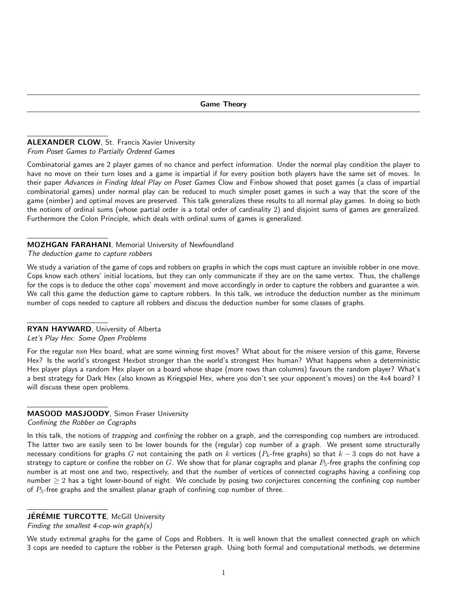#### ALEXANDER CLOW, St. Francis Xavier University From Poset Games to Partially Ordered Games

Combinatorial games are 2 player games of no chance and perfect information. Under the normal play condition the player to have no move on their turn loses and a game is impartial if for every position both players have the same set of moves. In their paper Advances in Finding Ideal Play on Poset Games Clow and Finbow showed that poset games (a class of impartial combinatorial games) under normal play can be reduced to much simpler poset games in such a way that the score of the game (nimber) and optimal moves are preserved. This talk generalizes these results to all normal play games. In doing so both the notions of ordinal sums (whose partial order is a total order of cardinality 2) and disjoint sums of games are generalized. Furthermore the Colon Principle, which deals with ordinal sums of games is generalized.

### MOZHGAN FARAHANI, Memorial University of Newfoundland

The deduction game to capture robbers

We study a variation of the game of cops and robbers on graphs in which the cops must capture an invisible robber in one move. Cops know each others' initial locations, but they can only communicate if they are on the same vertex. Thus, the challenge for the cops is to deduce the other cops' movement and move accordingly in order to capture the robbers and guarantee a win. We call this game the deduction game to capture robbers. In this talk, we introduce the deduction number as the minimum number of cops needed to capture all robbers and discuss the deduction number for some classes of graphs.

## RYAN HAYWARD, University of Alberta

#### Let's Play Hex: Some Open Problems

For the regular nxn Hex board, what are some winning first moves? What about for the misere version of this game, Reverse Hex? Is the world's strongest Hexbot stronger than the world's strongest Hex human? What happens when a deterministic Hex player plays a random Hex player on a board whose shape (more rows than columns) favours the random player? What's a best strategy for Dark Hex (also known as Kriegspiel Hex, where you don't see your opponent's moves) on the 4x4 board? I will discuss these open problems.

# MASOOD MASJOODY, Simon Fraser University

Confining the Robber on Cographs

In this talk, the notions of *trapping* and *confining* the robber on a graph, and the corresponding cop numbers are introduced. The latter two are easily seen to be lower bounds for the (regular) cop number of a graph. We present some structurally necessary conditions for graphs G not containing the path on k vertices ( $P_k$ -free graphs) so that  $k-3$  cops do not have a strategy to capture or confine the robber on G. We show that for planar cographs and planar  $P_5$ -free graphs the confining cop number is at most one and two, respectively, and that the number of vertices of connected cographs having a confining cop number  $\geq 2$  has a tight lower-bound of eight. We conclude by posing two conjectures concerning the confining cop number of  $P_5$ -free graphs and the smallest planar graph of confining cop number of three.

#### **JÉRÉMIE TURCOTTE, McGill University**

Finding the smallest 4-cop-win graph(s)

We study extremal graphs for the game of Cops and Robbers. It is well known that the smallest connected graph on which 3 cops are needed to capture the robber is the Petersen graph. Using both formal and computational methods, we determine